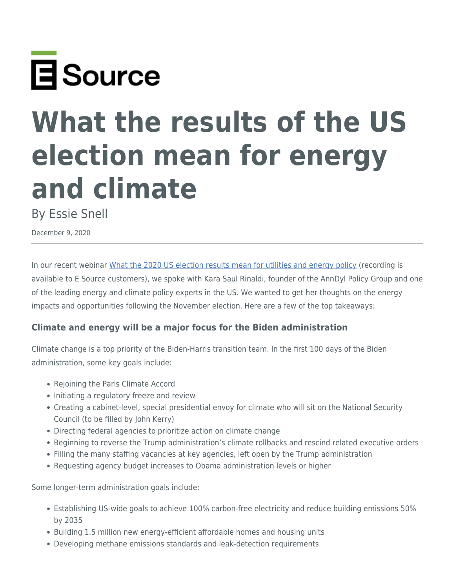

# **What the results of the US election mean for energy and climate**

By Essie Snell

December 9, 2020

In our recent webinar [What the 2020 US election results mean for utilities and energy policy](https://www.esource.com/001201rpnn/what-2020-us-election-results-mean-utilities-and-energy-policy) (recording is available to E Source customers), we spoke with Kara Saul Rinaldi, founder of the AnnDyl Policy Group and one of the leading energy and climate policy experts in the US. We wanted to get her thoughts on the energy impacts and opportunities following the November election. Here are a few of the top takeaways:

## **Climate and energy will be a major focus for the Biden administration**

Climate change is a top priority of the Biden-Harris transition team. In the first 100 days of the Biden administration, some key goals include:

- Rejoining the Paris Climate Accord
- Initiating a regulatory freeze and review
- Creating a cabinet-level, special presidential envoy for climate who will sit on the National Security Council (to be filled by John Kerry)
- Directing federal agencies to prioritize action on climate change
- Beginning to reverse the Trump administration's climate rollbacks and rescind related executive orders
- Filling the many staffing vacancies at key agencies, left open by the Trump administration
- Requesting agency budget increases to Obama administration levels or higher

Some longer-term administration goals include:

- Establishing US-wide goals to achieve 100% carbon-free electricity and reduce building emissions 50% by 2035
- Building 1.5 million new energy-efficient affordable homes and housing units
- Developing methane emissions standards and leak-detection requirements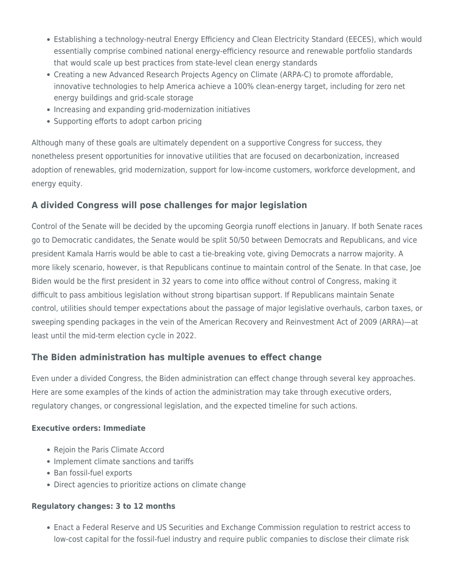- Establishing a technology-neutral Energy Efficiency and Clean Electricity Standard (EECES), which would essentially comprise combined national energy-efficiency resource and renewable portfolio standards that would scale up best practices from state-level clean energy standards
- Creating a new Advanced Research Projects Agency on Climate (ARPA-C) to promote affordable, innovative technologies to help America achieve a 100% clean-energy target, including for zero net energy buildings and grid-scale storage
- Increasing and expanding grid-modernization initiatives
- Supporting efforts to adopt carbon pricing

Although many of these goals are ultimately dependent on a supportive Congress for success, they nonetheless present opportunities for innovative utilities that are focused on decarbonization, increased adoption of renewables, grid modernization, support for low-income customers, workforce development, and energy equity.

## **A divided Congress will pose challenges for major legislation**

Control of the Senate will be decided by the upcoming Georgia runoff elections in January. If both Senate races go to Democratic candidates, the Senate would be split 50/50 between Democrats and Republicans, and vice president Kamala Harris would be able to cast a tie-breaking vote, giving Democrats a narrow majority. A more likely scenario, however, is that Republicans continue to maintain control of the Senate. In that case, Joe Biden would be the first president in 32 years to come into office without control of Congress, making it difficult to pass ambitious legislation without strong bipartisan support. If Republicans maintain Senate control, utilities should temper expectations about the passage of major legislative overhauls, carbon taxes, or sweeping spending packages in the vein of the American Recovery and Reinvestment Act of 2009 (ARRA)—at least until the mid-term election cycle in 2022.

## **The Biden administration has multiple avenues to effect change**

Even under a divided Congress, the Biden administration can effect change through several key approaches. Here are some examples of the kinds of action the administration may take through executive orders, regulatory changes, or congressional legislation, and the expected timeline for such actions.

#### **Executive orders: Immediate**

- Rejoin the Paris Climate Accord
- Implement climate sanctions and tariffs
- Ban fossil-fuel exports
- Direct agencies to prioritize actions on climate change

#### **Regulatory changes: 3 to 12 months**

Enact a Federal Reserve and US Securities and Exchange Commission regulation to restrict access to low-cost capital for the fossil-fuel industry and require public companies to disclose their climate risk